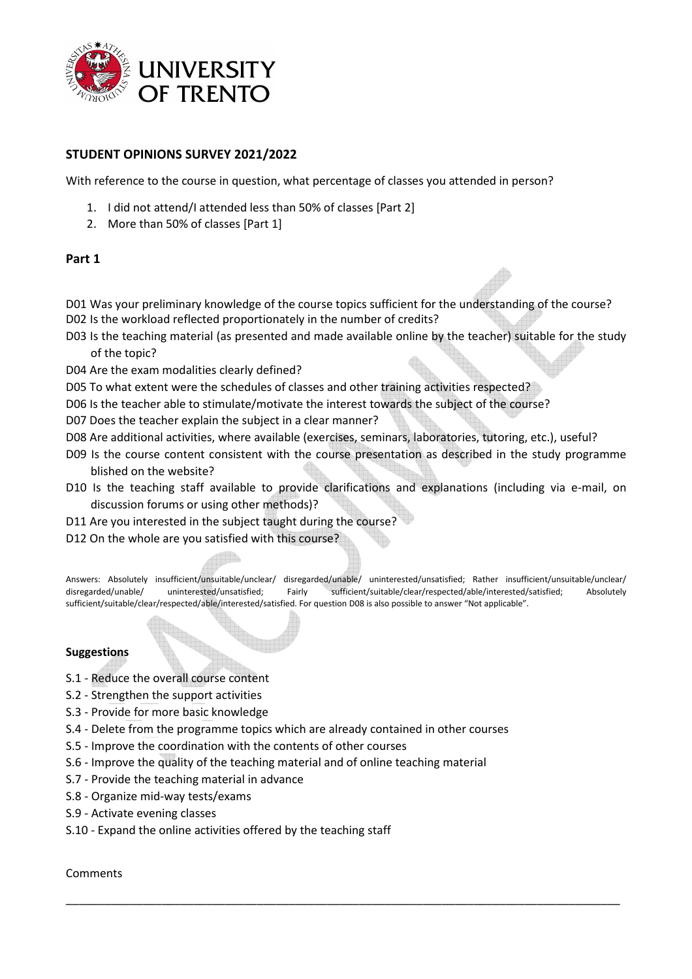

## **STUDENT OPINIONS SURVEY 2021/2022**

With reference to the course in question, what percentage of classes you attended in person?

- 1. I did not attend/I attended less than 50% of classes [Part 2]
- 2. More than 50% of classes [Part 1]

### **Part 1**

D01 Was your preliminary knowledge of the course topics sufficient for the understanding of the course? D02 Is the workload reflected proportionately in the number of credits?

- D03 Is the teaching material (as presented and made available online by the teacher) suitable for the study of the topic?
- D04 Are the exam modalities clearly defined?
- D05 To what extent were the schedules of classes and other training activities respected?
- D06 Is the teacher able to stimulate/motivate the interest towards the subject of the course?
- D07 Does the teacher explain the subject in a clear manner?
- D08 Are additional activities, where available (exercises, seminars, laboratories, tutoring, etc.), useful?
- D09 Is the course content consistent with the course presentation as described in the study programme blished on the website?
- D10 Is the teaching staff available to provide clarifications and explanations (including via e-mail, on discussion forums or using other methods)?
- D11 Are you interested in the subject taught during the course?
- D12 On the whole are you satisfied with this course?

Answers: Absolutely insufficient/unsuitable/unclear/ disregarded/unable/ uninterested/unsatisfied; Rather insufficient/unsuitable/unclear/ disregarded/unable/ uninterested/unsatisfied; Fairly sufficient/suitable/clear/respected/able/interested/satisfied; Absolutely sufficient/suitable/clear/respected/able/interested/satisfied. For question D08 is also possible to answer "Not applicable".

\_\_\_\_\_\_\_\_\_\_\_\_\_\_\_\_\_\_\_\_\_\_\_\_\_\_\_\_\_\_\_\_\_\_\_\_\_\_\_\_\_\_\_\_\_\_\_\_\_\_\_\_\_\_\_\_\_\_\_\_\_\_\_\_\_\_\_\_\_\_\_\_\_\_\_\_\_\_\_\_\_\_\_\_\_\_\_

#### **Suggestions**

- S.1 Reduce the overall course content
- S.2 Strengthen the support activities
- S.3 Provide for more basic knowledge
- S.4 Delete from the programme topics which are already contained in other courses
- S.5 Improve the coordination with the contents of other courses
- S.6 Improve the quality of the teaching material and of online teaching material
- S.7 Provide the teaching material in advance
- S.8 Organize mid-way tests/exams
- S.9 Activate evening classes
- S.10 Expand the online activities offered by the teaching staff

#### Comments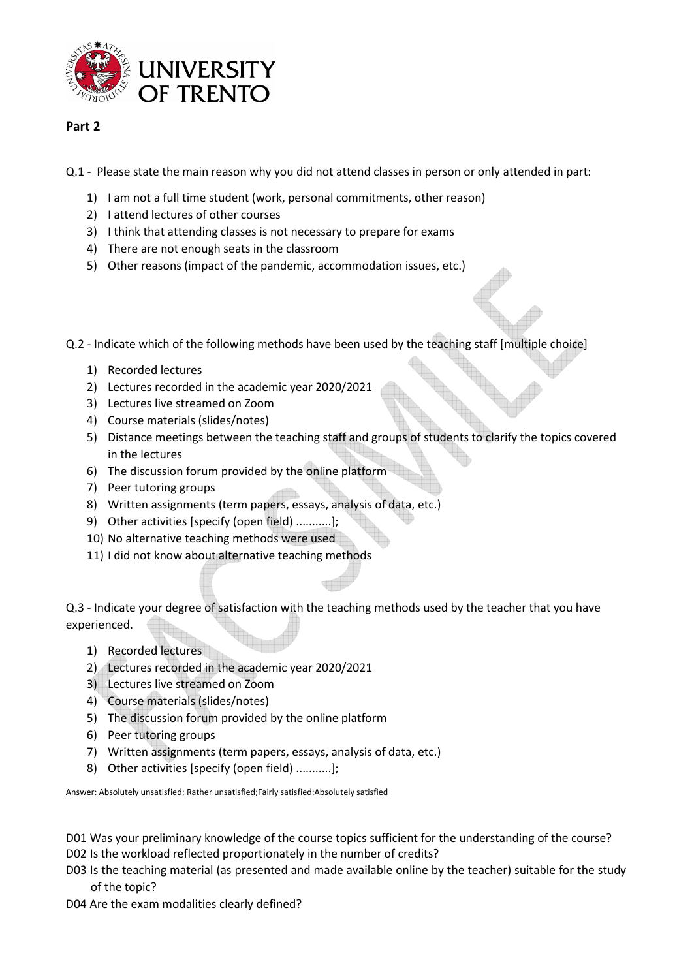

# **Part 2**

Q.1 - Please state the main reason why you did not attend classes in person or only attended in part:

- 1) I am not a full time student (work, personal commitments, other reason)
- 2) I attend lectures of other courses
- 3) I think that attending classes is not necessary to prepare for exams
- 4) There are not enough seats in the classroom
- 5) Other reasons (impact of the pandemic, accommodation issues, etc.)

Q.2 - Indicate which of the following methods have been used by the teaching staff [multiple choice]

- 1) Recorded lectures
- 2) Lectures recorded in the academic year 2020/2021
- 3) Lectures live streamed on Zoom
- 4) Course materials (slides/notes)
- 5) Distance meetings between the teaching staff and groups of students to clarify the topics covered in the lectures
- 6) The discussion forum provided by the online platform
- 7) Peer tutoring groups
- 8) Written assignments (term papers, essays, analysis of data, etc.)
- 9) Other activities [specify (open field) ...........];
- 10) No alternative teaching methods were used
- 11) I did not know about alternative teaching methods

Q.3 - Indicate your degree of satisfaction with the teaching methods used by the teacher that you have experienced.

- 1) Recorded lectures
- 2) Lectures recorded in the academic year 2020/2021
- 3) Lectures live streamed on Zoom
- 4) Course materials (slides/notes)
- 5) The discussion forum provided by the online platform
- 6) Peer tutoring groups
- 7) Written assignments (term papers, essays, analysis of data, etc.)
- 8) Other activities [specify (open field) ...........];

Answer: Absolutely unsatisfied; Rather unsatisfied;Fairly satisfied;Absolutely satisfied

D01 Was your preliminary knowledge of the course topics sufficient for the understanding of the course? D02 Is the workload reflected proportionately in the number of credits?

- D03 Is the teaching material (as presented and made available online by the teacher) suitable for the study of the topic?
- D04 Are the exam modalities clearly defined?